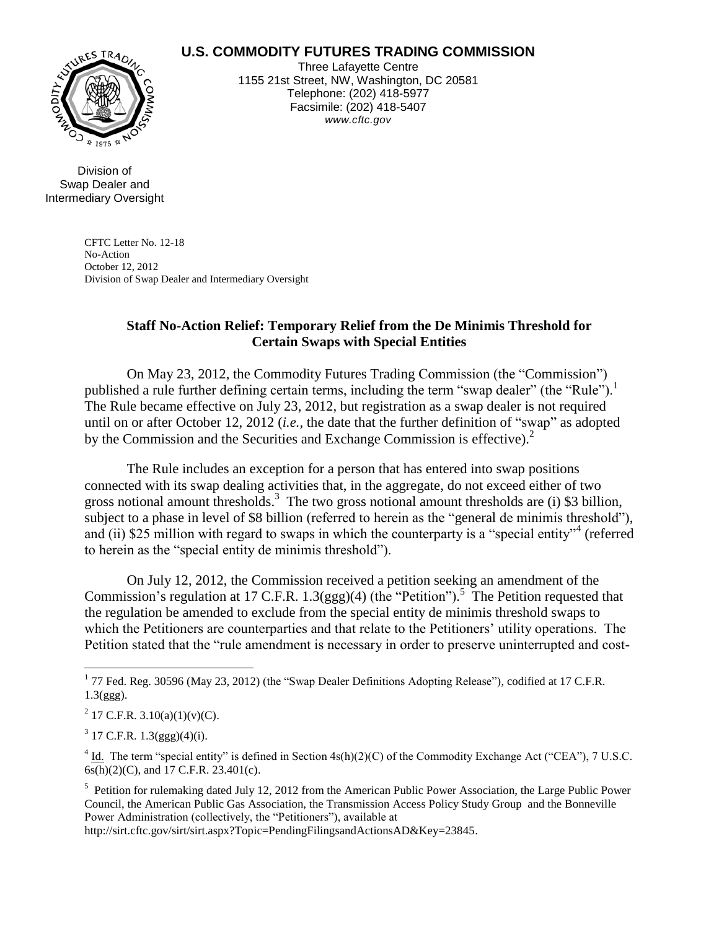## **U.S. COMMODITY FUTURES TRADING COMMISSION**



Three Lafayette Centre 1155 21st Street, NW, Washington, DC 20581 Telephone: (202) 418-5977 Facsimile: (202) 418-5407 *www.cftc.gov*

Division of Swap Dealer and Intermediary Oversight

> CFTC Letter No. 12-18 No-Action October 12, 2012 Division of Swap Dealer and Intermediary Oversight

## **Staff No-Action Relief: Temporary Relief from the De Minimis Threshold for Certain Swaps with Special Entities**

On May 23, 2012, the Commodity Futures Trading Commission (the "Commission") published a rule further defining certain terms, including the term "swap dealer" (the "Rule").<sup>1</sup> The Rule became effective on July 23, 2012, but registration as a swap dealer is not required until on or after October 12, 2012 (*i.e.,* the date that the further definition of "swap" as adopted by the Commission and the Securities and Exchange Commission is effective). $2$ 

The Rule includes an exception for a person that has entered into swap positions connected with its swap dealing activities that, in the aggregate, do not exceed either of two gross notional amount thresholds. 3 The two gross notional amount thresholds are (i) \$3 billion, subject to a phase in level of \$8 billion (referred to herein as the "general de minimis threshold"), and (ii) \$25 million with regard to swaps in which the counterparty is a "special entity"<sup>4</sup> (referred to herein as the "special entity de minimis threshold").

<span id="page-0-0"></span>On July 12, 2012, the Commission received a petition seeking an amendment of the Commission's regulation at 17 C.F.R.  $1.3(ggg)(4)$  (the "Petition").<sup>5</sup> The Petition requested that the regulation be amended to exclude from the special entity de minimis threshold swaps to which the Petitioners are counterparties and that relate to the Petitioners' utility operations. The Petition stated that the "rule amendment is necessary in order to preserve uninterrupted and cost-

<sup>2</sup> 17 C.F.R. 3.10(a)(1)(v)(C).

 $3 \text{ 17 C.F.R. } 1.3\text{(ggg)}(4)(i).$ 

 $\overline{a}$ 

 $4 \underline{Id}$ . The term "special entity" is defined in Section 4s(h)(2)(C) of the Commodity Exchange Act ("CEA"), 7 U.S.C.  $6s(h)(2)(C)$ , and 17 C.F.R. 23.401(c).

<sup>5</sup> Petition for rulemaking dated July 12, 2012 from the American Public Power Association, the Large Public Power Council, the American Public Gas Association, the Transmission Access Policy Study Group and the Bonneville Power Administration (collectively, the "Petitioners"), available at

http://sirt.cftc.gov/sirt/sirt.aspx?Topic=PendingFilingsandActionsAD&Key=23845.

 $1$  77 Fed. Reg. 30596 (May 23, 2012) (the "Swap Dealer Definitions Adopting Release"), codified at 17 C.F.R. 1.3(ggg).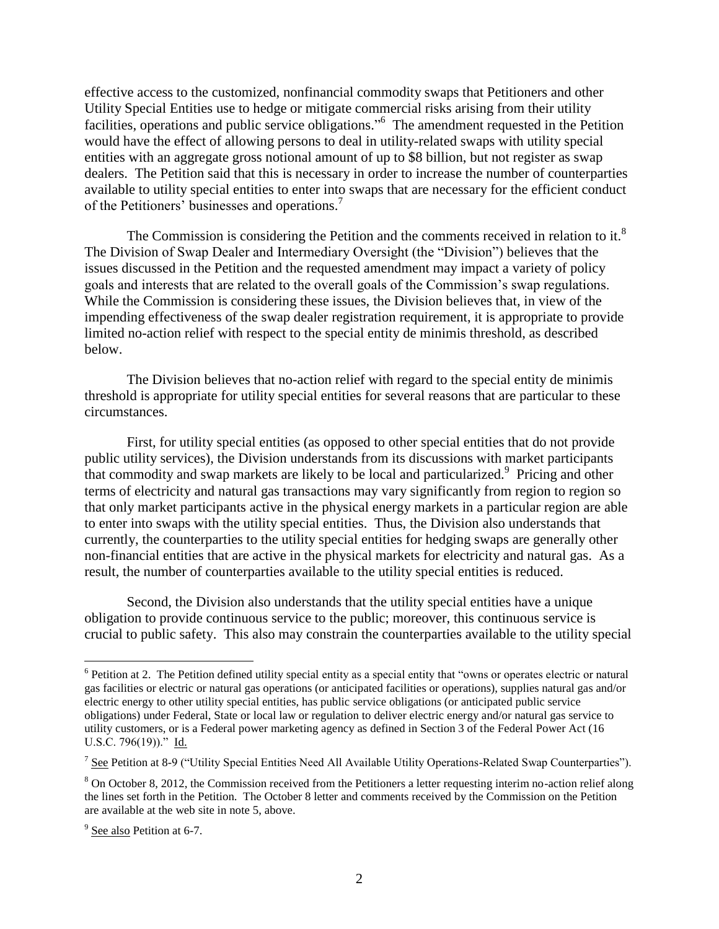<span id="page-1-0"></span>effective access to the customized, nonfinancial commodity swaps that Petitioners and other Utility Special Entities use to hedge or mitigate commercial risks arising from their utility facilities, operations and public service obligations."<sup>6</sup> The amendment requested in the Petition would have the effect of allowing persons to deal in utility-related swaps with utility special entities with an aggregate gross notional amount of up to \$8 billion, but not register as swap dealers. The Petition said that this is necessary in order to increase the number of counterparties available to utility special entities to enter into swaps that are necessary for the efficient conduct of the Petitioners' businesses and operations.<sup>7</sup>

The Commission is considering the Petition and the comments received in relation to it.<sup>8</sup> The Division of Swap Dealer and Intermediary Oversight (the "Division") believes that the issues discussed in the Petition and the requested amendment may impact a variety of policy goals and interests that are related to the overall goals of the Commission's swap regulations. While the Commission is considering these issues, the Division believes that, in view of the impending effectiveness of the swap dealer registration requirement, it is appropriate to provide limited no-action relief with respect to the special entity de minimis threshold, as described below.

The Division believes that no-action relief with regard to the special entity de minimis threshold is appropriate for utility special entities for several reasons that are particular to these circumstances.

First, for utility special entities (as opposed to other special entities that do not provide public utility services), the Division understands from its discussions with market participants that commodity and swap markets are likely to be local and particularized.<sup>9</sup> Pricing and other terms of electricity and natural gas transactions may vary significantly from region to region so that only market participants active in the physical energy markets in a particular region are able to enter into swaps with the utility special entities. Thus, the Division also understands that currently, the counterparties to the utility special entities for hedging swaps are generally other non-financial entities that are active in the physical markets for electricity and natural gas. As a result, the number of counterparties available to the utility special entities is reduced.

Second, the Division also understands that the utility special entities have a unique obligation to provide continuous service to the public; moreover, this continuous service is crucial to public safety. This also may constrain the counterparties available to the utility special

<sup>&</sup>lt;sup>6</sup> Petition at 2. The Petition defined utility special entity as a special entity that "owns or operates electric or natural gas facilities or electric or natural gas operations (or anticipated facilities or operations), supplies natural gas and/or electric energy to other utility special entities, has public service obligations (or anticipated public service obligations) under Federal, State or local law or regulation to deliver electric energy and/or natural gas service to utility customers, or is a Federal power marketing agency as defined in Section 3 of the Federal Power Act (16 U.S.C. 796(19))." Id.

 $7$  See Petition at 8-9 ("Utility Special Entities Need All Available Utility Operations-Related Swap Counterparties").

<sup>8</sup> On October 8, 2012, the Commission received from the Petitioners a letter requesting interim no-action relief along the lines set forth in the Petition. The October 8 letter and comments received by the Commission on the Petition are available at the web site in note [5,](#page-0-0) above.

<sup>&</sup>lt;sup>9</sup> See also Petition at 6-7.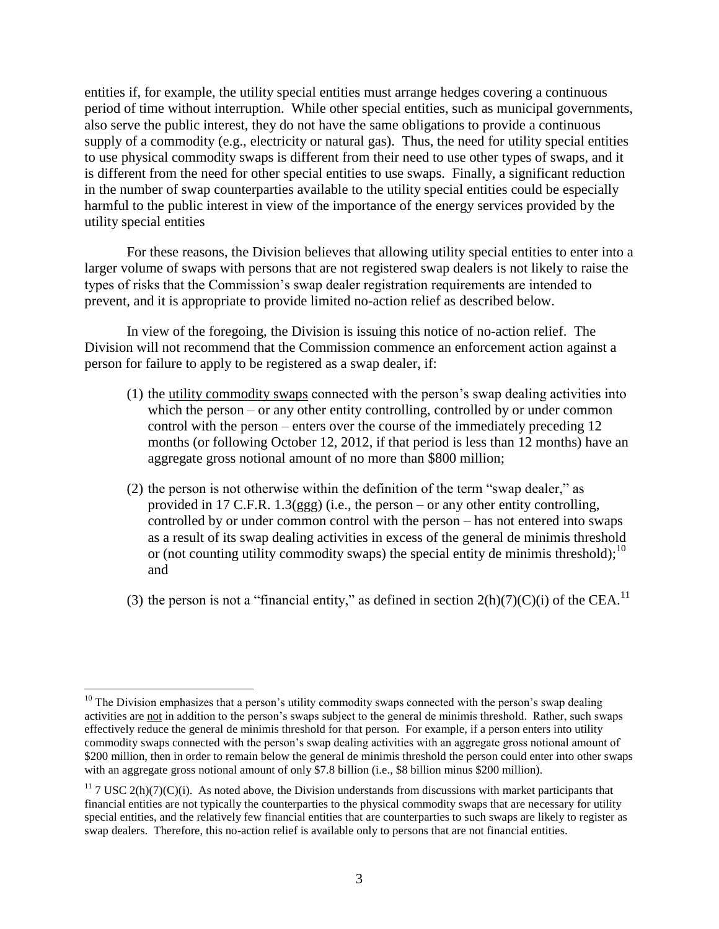entities if, for example, the utility special entities must arrange hedges covering a continuous period of time without interruption. While other special entities, such as municipal governments, also serve the public interest, they do not have the same obligations to provide a continuous supply of a commodity (e.g., electricity or natural gas). Thus, the need for utility special entities to use physical commodity swaps is different from their need to use other types of swaps, and it is different from the need for other special entities to use swaps. Finally, a significant reduction in the number of swap counterparties available to the utility special entities could be especially harmful to the public interest in view of the importance of the energy services provided by the utility special entities

For these reasons, the Division believes that allowing utility special entities to enter into a larger volume of swaps with persons that are not registered swap dealers is not likely to raise the types of risks that the Commission's swap dealer registration requirements are intended to prevent, and it is appropriate to provide limited no-action relief as described below.

In view of the foregoing, the Division is issuing this notice of no-action relief. The Division will not recommend that the Commission commence an enforcement action against a person for failure to apply to be registered as a swap dealer, if:

- (1) the utility commodity swaps connected with the person's swap dealing activities into which the person – or any other entity controlling, controlled by or under common control with the person – enters over the course of the immediately preceding 12 months (or following October 12, 2012, if that period is less than 12 months) have an aggregate gross notional amount of no more than \$800 million;
- (2) the person is not otherwise within the definition of the term "swap dealer," as provided in 17 C.F.R. 1.3(ggg) (i.e., the person – or any other entity controlling, controlled by or under common control with the person – has not entered into swaps as a result of its swap dealing activities in excess of the general de minimis threshold or (not counting utility commodity swaps) the special entity de minimis threshold);  $10$ and
- (3) the person is not a "financial entity," as defined in section  $2(h)(7)(C)(i)$  of the CEA.<sup>11</sup>

 $10$  The Division emphasizes that a person's utility commodity swaps connected with the person's swap dealing activities are not in addition to the person's swaps subject to the general de minimis threshold. Rather, such swaps effectively reduce the general de minimis threshold for that person. For example, if a person enters into utility commodity swaps connected with the person's swap dealing activities with an aggregate gross notional amount of \$200 million, then in order to remain below the general de minimis threshold the person could enter into other swaps with an aggregate gross notional amount of only \$7.8 billion (i.e., \$8 billion minus \$200 million).

<sup>&</sup>lt;sup>11</sup> 7 USC 2(h)(7)(C)(i). As noted above, the Division understands from discussions with market participants that financial entities are not typically the counterparties to the physical commodity swaps that are necessary for utility special entities, and the relatively few financial entities that are counterparties to such swaps are likely to register as swap dealers. Therefore, this no-action relief is available only to persons that are not financial entities.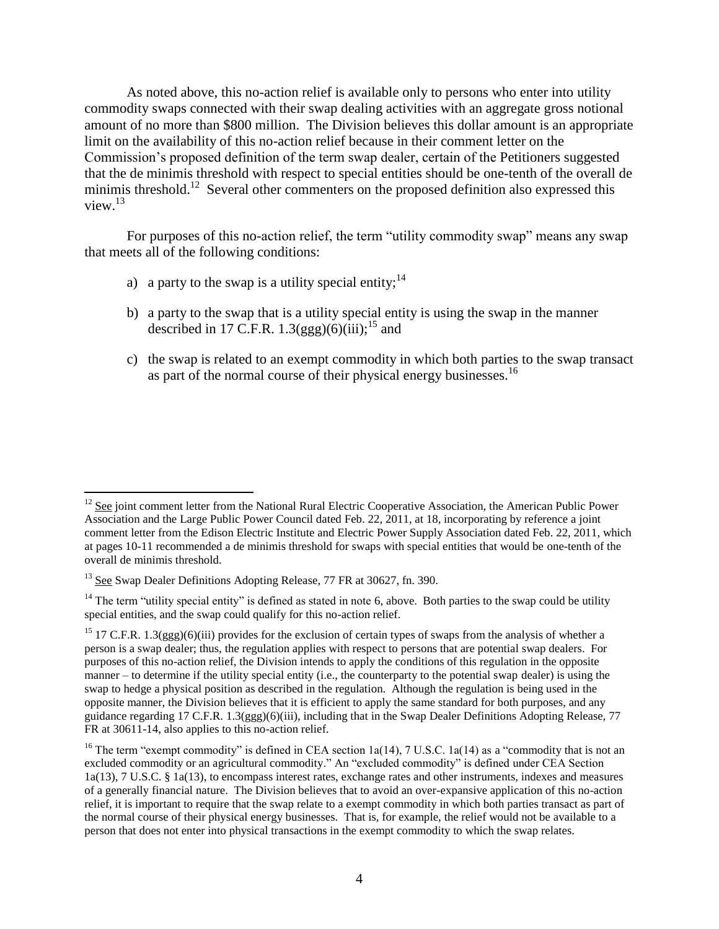As noted above, this no-action relief is available only to persons who enter into utility commodity swaps connected with their swap dealing activities with an aggregate gross notional amount of no more than \$800 million. The Division believes this dollar amount is an appropriate limit on the availability of this no-action relief because in their comment letter on the Commission's proposed definition of the term swap dealer, certain of the Petitioners suggested that the de minimis threshold with respect to special entities should be one-tenth of the overall de minimis threshold.<sup>12</sup> Several other commenters on the proposed definition also expressed this view. $13$ 

For purposes of this no-action relief, the term "utility commodity swap" means any swap that meets all of the following conditions:

- a) a party to the swap is a utility special entity;<sup>14</sup>
- b) a party to the swap that is a utility special entity is using the swap in the manner described in 17 C.F.R. 1.3(ggg)(6)(iii);<sup>15</sup> and
- c) the swap is related to an exempt commodity in which both parties to the swap transact as part of the normal course of their physical energy businesses.<sup>16</sup>

 $12$  See joint comment letter from the National Rural Electric Cooperative Association, the American Public Power Association and the Large Public Power Council dated Feb. 22, 2011, at 18, incorporating by reference a joint comment letter from the Edison Electric Institute and Electric Power Supply Association dated Feb. 22, 2011, which at pages 10-11 recommended a de minimis threshold for swaps with special entities that would be one-tenth of the overall de minimis threshold.

<sup>&</sup>lt;sup>13</sup> See Swap Dealer Definitions Adopting Release, 77 FR at 30627, fn. 390.

<sup>&</sup>lt;sup>14</sup> The term "utility special entity" is defined as stated in note [6,](#page-1-0) above. Both parties to the swap could be utility special entities, and the swap could qualify for this no-action relief.

<sup>&</sup>lt;sup>15</sup> 17 C.F.R. 1.3(ggg)(6)(iii) provides for the exclusion of certain types of swaps from the analysis of whether a person is a swap dealer; thus, the regulation applies with respect to persons that are potential swap dealers. For purposes of this no-action relief, the Division intends to apply the conditions of this regulation in the opposite manner – to determine if the utility special entity (i.e., the counterparty to the potential swap dealer) is using the swap to hedge a physical position as described in the regulation. Although the regulation is being used in the opposite manner, the Division believes that it is efficient to apply the same standard for both purposes, and any guidance regarding 17 C.F.R. 1.3(ggg)(6)(iii), including that in the Swap Dealer Definitions Adopting Release, 77 FR at 30611-14, also applies to this no-action relief.

<sup>&</sup>lt;sup>16</sup> The term "exempt commodity" is defined in CEA section 1a(14), 7 U.S.C. 1a(14) as a "commodity that is not an excluded commodity or an agricultural commodity." An "excluded commodity" is defined under CEA Section 1a(13), 7 U.S.C. § 1a(13), to encompass interest rates, exchange rates and other instruments, indexes and measures of a generally financial nature. The Division believes that to avoid an over-expansive application of this no-action relief, it is important to require that the swap relate to a exempt commodity in which both parties transact as part of the normal course of their physical energy businesses. That is, for example, the relief would not be available to a person that does not enter into physical transactions in the exempt commodity to which the swap relates.